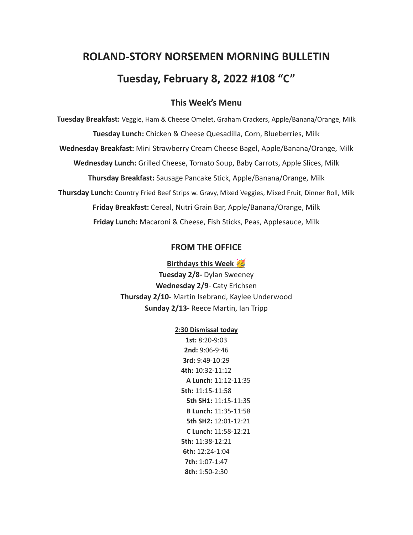# **ROLAND-STORY NORSEMEN MORNING BULLETIN Tuesday, February 8, 2022 #108 "C"**

## **This Week's Menu**

**Tuesday Breakfast:** Veggie, Ham & Cheese Omelet, Graham Crackers, Apple/Banana/Orange, Milk **Tuesday Lunch:** Chicken & Cheese Quesadilla, Corn, Blueberries, Milk **Wednesday Breakfast:** Mini Strawberry Cream Cheese Bagel, Apple/Banana/Orange, Milk **Wednesday Lunch:** Grilled Cheese, Tomato Soup, Baby Carrots, Apple Slices, Milk **Thursday Breakfast:** Sausage Pancake Stick, Apple/Banana/Orange, Milk **Thursday Lunch:** Country Fried Beef Strips w. Gravy, Mixed Veggies, Mixed Fruit, Dinner Roll, Milk **Friday Breakfast:** Cereal, Nutri Grain Bar, Apple/Banana/Orange, Milk **Friday Lunch:** Macaroni & Cheese, Fish Sticks, Peas, Applesauce, Milk

#### **FROM THE OFFICE**

#### **Birthdays this Week**

**Tuesday 2/8-** Dylan Sweeney **Wednesday 2/9**- Caty Erichsen **Thursday 2/10-** Martin Isebrand, Kaylee Underwood **Sunday 2/13-** Reece Martin, Ian Tripp

#### **2:30 Dismissal today**

**1st:** 8:20-9:03 **2nd:** 9:06-9:46 **3rd:** 9:49-10:29 **4th:** 10:32-11:12 **A Lunch:** 11:12-11:35 **5th:** 11:15-11:58 **5th SH1:** 11:15-11:35 **B Lunch:** 11:35-11:58 **5th SH2:** 12:01-12:21 **C Lunch:** 11:58-12:21 **5th:** 11:38-12:21 **6th:** 12:24-1:04 **7th:** 1:07-1:47 **8th:** 1:50-2:30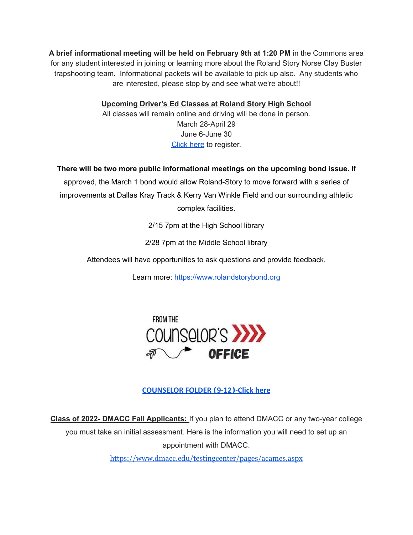**A brief informational meeting will be held on February 9th at 1:20 PM** in the Commons area for any student interested in joining or learning more about the Roland Story Norse Clay Buster trapshooting team. Informational packets will be available to pick up also. Any students who are interested, please stop by and see what we're about!!

**Upcoming Driver's Ed Classes at Roland Story High School**

All classes will remain online and driving will be done in person. March 28-April 29 June 6-June 30 [Click](http://streetsmartsdriversed.com/) here to register.

**There will be two more public informational meetings on the upcoming bond issue.** If

approved, the March 1 bond would allow Roland-Story to move forward with a series of improvements at Dallas Kray Track & Kerry Van Winkle Field and our surrounding athletic complex facilities.

2/15 7pm at the High School library

2/28 7pm at the Middle School library

Attendees will have opportunities to ask questions and provide feedback.

Learn more: [https://www.rolandstorybond.org](https://www.rolandstorybond.org/?fbclid=IwAR3AJHhy8S8KvQsof-Z44UTrIBXDkOZFSdMyUXMovrg0bH3FkvkTprNkFuM)



# **[COUNSELOR FOLDER](https://docs.google.com/document/d/1vmwczNPbDzXe9vFaG5LJMQ7NYDv-i4oQJHybqA65TUc/edit?usp=sharing) (9-12)-Click here**

**Class of 2022- DMACC Fall Applicants:** If you plan to attend DMACC or any two-year college you must take an initial assessment. Here is the information you will need to set up an appointment with DMACC.

<https://www.dmacc.edu/testingcenter/pages/acames.aspx>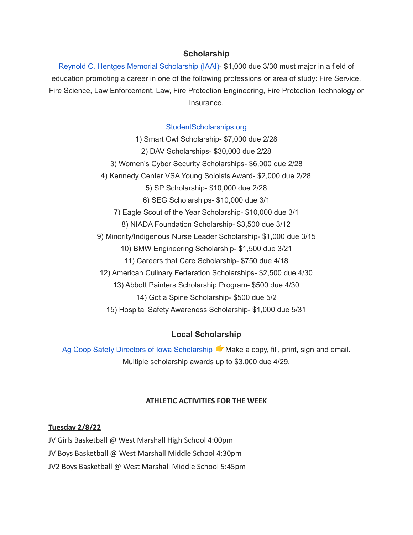## **Scholarship**

Reynold C. Hentges Memorial [Scholarship](https://drive.google.com/file/d/1hjWI_srze5__tTjHVbJ5z3zd1-S63qlS/view?usp=sharing) (IAAI)- \$1,000 due 3/30 must major in a field of education promoting a career in one of the following professions or area of study: Fire Service, Fire Science, Law Enforcement, Law, Fire Protection Engineering, Fire Protection Technology or Insurance.

#### [StudentScholarships.org](https://drive.google.com/file/d/1hV3dZAuh9FIeLf132rgQi86QgS7AQzZD/view?usp=sharing)

1) Smart Owl Scholarship- \$7,000 due 2/28 2) DAV Scholarships- \$30,000 due 2/28 3) Women's Cyber Security Scholarships- \$6,000 due 2/28 4) Kennedy Center VSA Young Soloists Award- \$2,000 due 2/28 5) SP Scholarship- \$10,000 due 2/28 6) SEG Scholarships- \$10,000 due 3/1 7) Eagle Scout of the Year Scholarship- \$10,000 due 3/1 8) NIADA Foundation Scholarship- \$3,500 due 3/12 9) Minority/Indigenous Nurse Leader Scholarship- \$1,000 due 3/15 10) BMW Engineering Scholarship- \$1,500 due 3/21 11) Careers that Care Scholarship- \$750 due 4/18 12) American Culinary Federation Scholarships- \$2,500 due 4/30 13) Abbott Painters Scholarship Program- \$500 due 4/30 14) Got a Spine Scholarship- \$500 due 5/2 15) Hospital Safety Awareness Scholarship- \$1,000 due 5/31

## **Local Scholarship**

Ag Coop Safety Directors of Iowa [Scholarship](https://drive.google.com/file/d/1wX3l1X88nHo4DZaVPAlq49FzsUtMJSWh/view?usp=sharing) Make a copy, fill, print, sign and email. Multiple scholarship awards up to \$3,000 due 4/29.

#### **ATHLETIC ACTIVITIES FOR THE WEEK**

#### **Tuesday 2/8/22**

JV Girls Basketball @ West Marshall High School 4:00pm

JV Boys Basketball @ West Marshall Middle School 4:30pm

JV2 Boys Basketball @ West Marshall Middle School 5:45pm